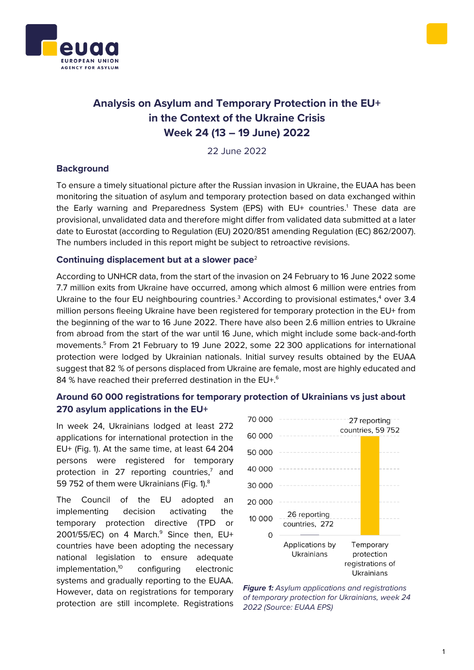



# **Analysis on Asylum and Temporary Protection in the EU+ in the Context of the Ukraine Crisis Week 24 (13 – 19 June) 2022**

22 June 2022

### **Background**

To ensure a timely situational picture after the Russian invasion in Ukraine, the EUAA has been monitoring the situation of asylum and temporary protection based on data exchanged within the Early warning and Preparedness System (EPS) with EU+ countries.<sup>1</sup> These data are provisional, unvalidated data and therefore might differ from validated data submitted at a later date to Eurostat (according to Regulation (EU) 2020/851 amending Regulation (EC) 862/2007). The numbers included in this report might be subject to retroactive revisions.

### **Continuing displacement but at a slower pace**<sup>2</sup>

According to UNHCR data, from the start of the invasion on 24 February to 16 June 2022 some 7.7 million exits from Ukraine have occurred, among which almost 6 million were entries from Ukraine to the four EU neighbouring countries.<sup>3</sup> According to provisional estimates, $4$  over 3.4 million persons fleeing Ukraine have been registered for temporary protection in the EU+ from the beginning of the war to 16 June 2022. There have also been 2.6 million entries to Ukraine from abroad from the start of the war until 16 June, which might include some back-and-forth movements.<sup>5</sup> From 21 February to 19 June 2022, some 22 300 applications for international protection were lodged by Ukrainian nationals. Initial survey results obtained by the EUAA suggest that 82 % of persons displaced from Ukraine are female, most are highly educated and 84 % have reached their preferred destination in the EU+.<sup>6</sup>

## **Around 60 000 registrations for temporary protection of Ukrainians vs just about 270 asylum applications in the EU+**

In week 24, Ukrainians lodged at least 272 applications for international protection in the EU+ (Fig. 1). At the same time, at least 64 204 persons were registered for temporary protection in 27 reporting countries, $<sup>7</sup>$  and</sup> 59 752 of them were Ukrainians (Fig. 1).<sup>8</sup>

The Council of the EU adopted an implementing decision activating the temporary protection directive (TPD or  $2001/55/EC$ ) on 4 March. $9$  Since then, EU+ countries have been adopting the necessary national legislation to ensure adequate implementation,<sup>10</sup> configuring electronic systems and gradually reporting to the EUAA. However, data on registrations for temporary protection are still incomplete. Registrations



*Figure 1: Asylum applications and registrations of temporary protection for Ukrainians, week 24 2022 (Source: EUAA EPS)*